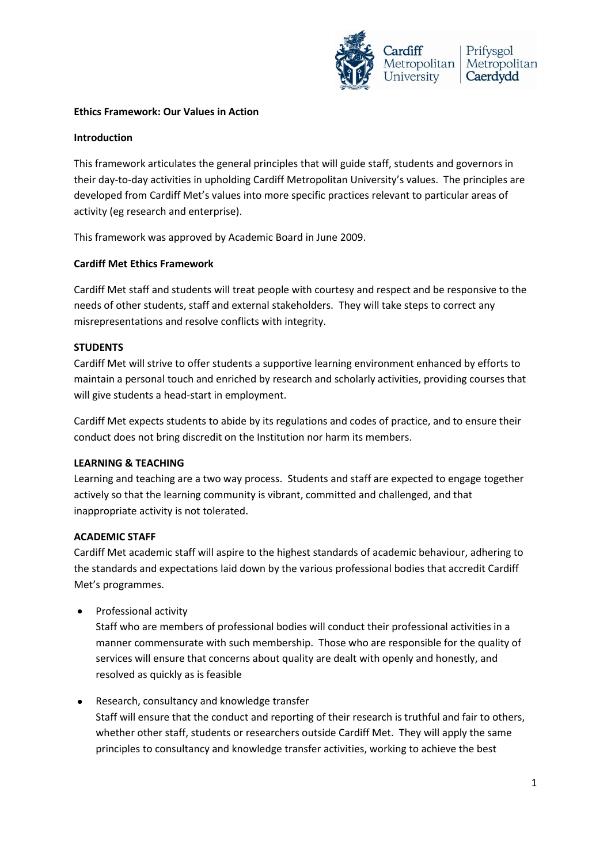

## **Ethics Framework: Our Values in Action**

## **Introduction**

This framework articulates the general principles that will guide staff, students and governors in their day-to-day activities in upholding Cardiff Metropolitan University's values. The principles are developed from Cardiff Met's values into more specific practices relevant to particular areas of activity (eg research and enterprise).

This framework was approved by Academic Board in June 2009.

# **Cardiff Met Ethics Framework**

Cardiff Met staff and students will treat people with courtesy and respect and be responsive to the needs of other students, staff and external stakeholders. They will take steps to correct any misrepresentations and resolve conflicts with integrity.

# **STUDENTS**

Cardiff Met will strive to offer students a supportive learning environment enhanced by efforts to maintain a personal touch and enriched by research and scholarly activities, providing courses that will give students a head-start in employment.

Cardiff Met expects students to abide by its regulations and codes of practice, and to ensure their conduct does not bring discredit on the Institution nor harm its members.

### **LEARNING & TEACHING**

Learning and teaching are a two way process. Students and staff are expected to engage together actively so that the learning community is vibrant, committed and challenged, and that inappropriate activity is not tolerated.

### **ACADEMIC STAFF**

Cardiff Met academic staff will aspire to the highest standards of academic behaviour, adhering to the standards and expectations laid down by the various professional bodies that accredit Cardiff Met's programmes.

Professional activity  $\bullet$ 

> Staff who are members of professional bodies will conduct their professional activities in a manner commensurate with such membership. Those who are responsible for the quality of services will ensure that concerns about quality are dealt with openly and honestly, and resolved as quickly as is feasible

#### Research, consultancy and knowledge transfer  $\bullet$

Staff will ensure that the conduct and reporting of their research is truthful and fair to others, whether other staff, students or researchers outside Cardiff Met. They will apply the same principles to consultancy and knowledge transfer activities, working to achieve the best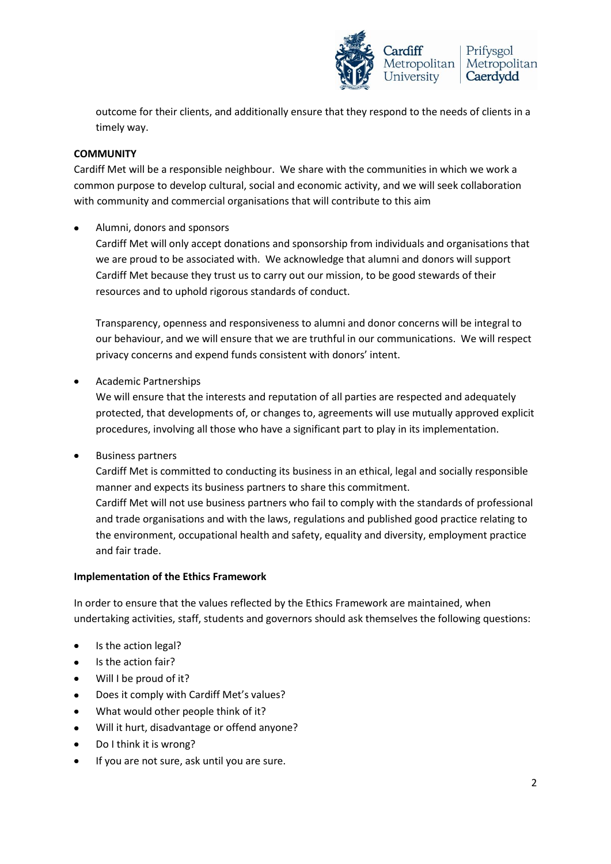

outcome for their clients, and additionally ensure that they respond to the needs of clients in a timely way.

# **COMMUNITY**

Cardiff Met will be a responsible neighbour. We share with the communities in which we work a common purpose to develop cultural, social and economic activity, and we will seek collaboration with community and commercial organisations that will contribute to this aim

Alumni, donors and sponsors Cardiff Met will only accept donations and sponsorship from individuals and organisations that we are proud to be associated with. We acknowledge that alumni and donors will support Cardiff Met because they trust us to carry out our mission, to be good stewards of their resources and to uphold rigorous standards of conduct.

Transparency, openness and responsiveness to alumni and donor concerns will be integral to our behaviour, and we will ensure that we are truthful in our communications. We will respect privacy concerns and expend funds consistent with donors' intent.

Academic Partnerships

We will ensure that the interests and reputation of all parties are respected and adequately protected, that developments of, or changes to, agreements will use mutually approved explicit procedures, involving all those who have a significant part to play in its implementation.

Business partners  $\bullet$ 

> Cardiff Met is committed to conducting its business in an ethical, legal and socially responsible manner and expects its business partners to share this commitment. Cardiff Met will not use business partners who fail to comply with the standards of professional and trade organisations and with the laws, regulations and published good practice relating to the environment, occupational health and safety, equality and diversity, employment practice and fair trade.

# **Implementation of the Ethics Framework**

In order to ensure that the values reflected by the Ethics Framework are maintained, when undertaking activities, staff, students and governors should ask themselves the following questions:

- Is the action legal?
- Is the action fair?  $\bullet$
- Will I be proud of it?
- Does it comply with Cardiff Met's values?
- What would other people think of it?
- Will it hurt, disadvantage or offend anyone?
- Do I think it is wrong?
- If you are not sure, ask until you are sure.